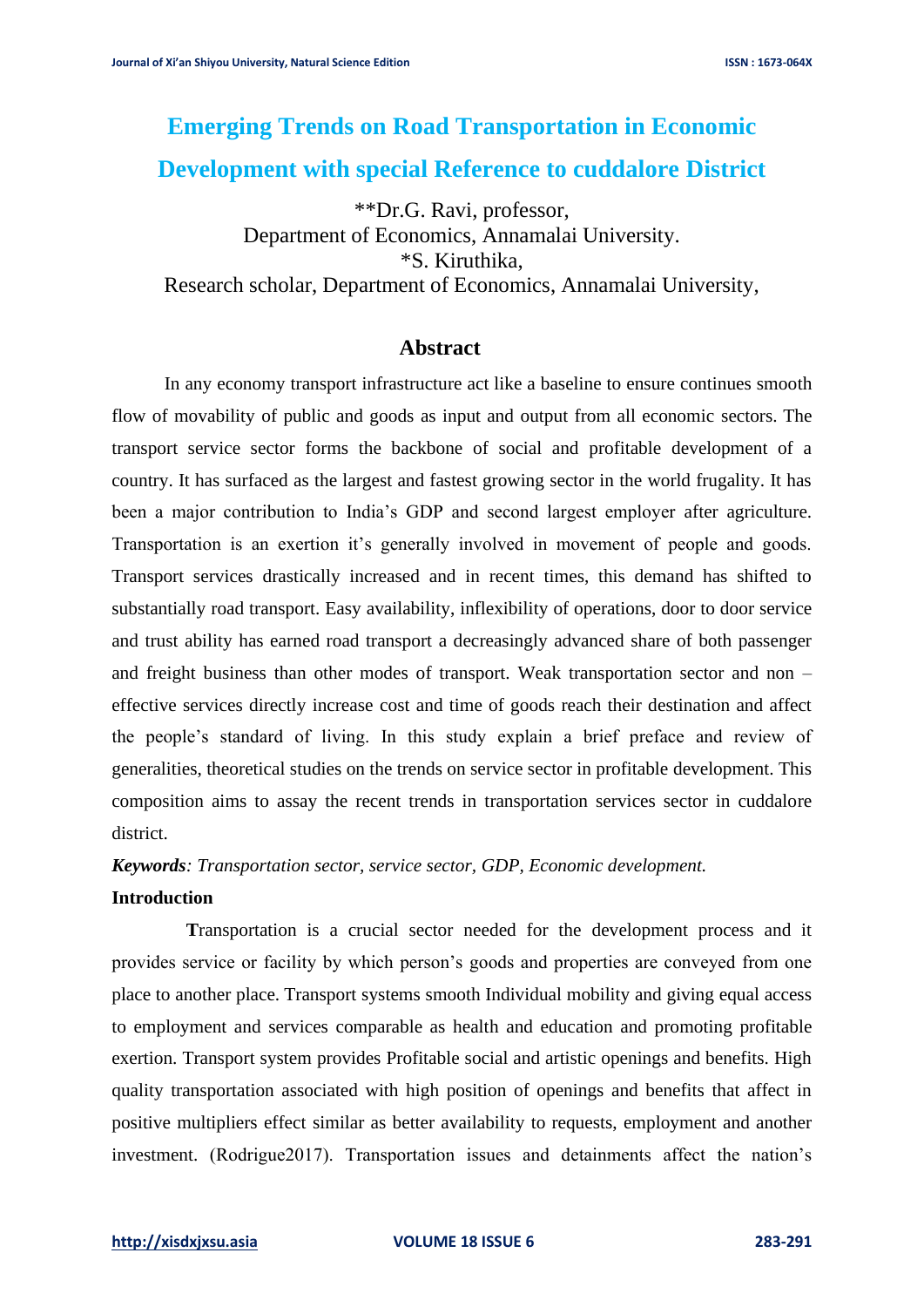# **Emerging Trends on Road Transportation in Economic Development with special Reference to cuddalore District**

\*\*Dr.G. Ravi, professor, Department of Economics, Annamalai University. \*S. Kiruthika, Research scholar, Department of Economics, Annamalai University,

## **Abstract**

In any economy transport infrastructure act like a baseline to ensure continues smooth flow of movability of public and goods as input and output from all economic sectors. The transport service sector forms the backbone of social and profitable development of a country. It has surfaced as the largest and fastest growing sector in the world frugality. It has been a major contribution to India's GDP and second largest employer after agriculture. Transportation is an exertion it's generally involved in movement of people and goods. Transport services drastically increased and in recent times, this demand has shifted to substantially road transport. Easy availability, inflexibility of operations, door to door service and trust ability has earned road transport a decreasingly advanced share of both passenger and freight business than other modes of transport. Weak transportation sector and non – effective services directly increase cost and time of goods reach their destination and affect the people's standard of living. In this study explain a brief preface and review of generalities, theoretical studies on the trends on service sector in profitable development. This composition aims to assay the recent trends in transportation services sector in cuddalore district.

*Keywords: Transportation sector, service sector, GDP, Economic development.*

#### **Introduction**

 **T**ransportation is a crucial sector needed for the development process and it provides service or facility by which person's goods and properties are conveyed from one place to another place. Transport systems smooth Individual mobility and giving equal access to employment and services comparable as health and education and promoting profitable exertion. Transport system provides Profitable social and artistic openings and benefits. High quality transportation associated with high position of openings and benefits that affect in positive multipliers effect similar as better availability to requests, employment and another investment. (Rodrigue2017). Transportation issues and detainments affect the nation's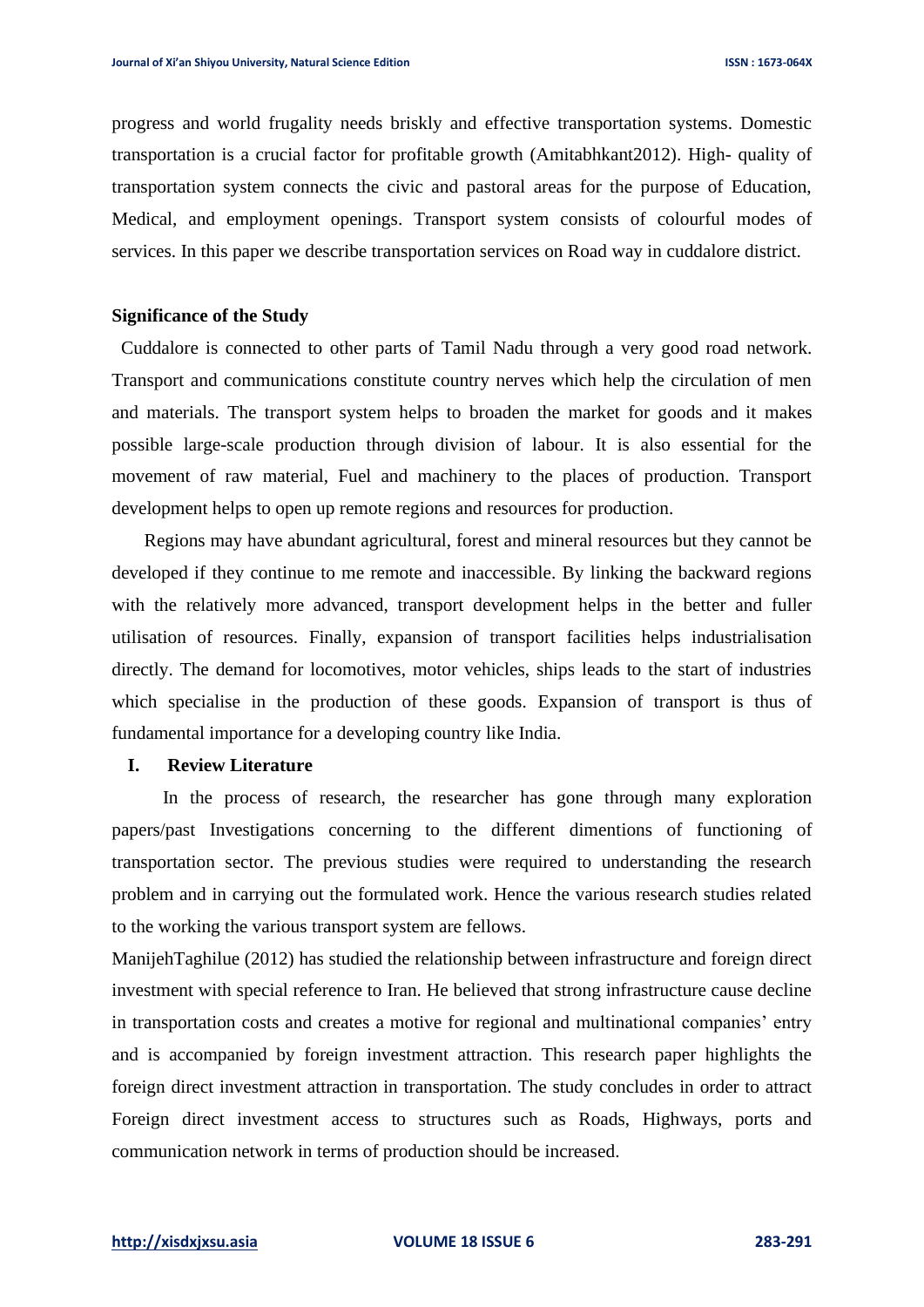progress and world frugality needs briskly and effective transportation systems. Domestic transportation is a crucial factor for profitable growth (Amitabhkant2012). High- quality of transportation system connects the civic and pastoral areas for the purpose of Education, Medical, and employment openings. Transport system consists of colourful modes of services. In this paper we describe transportation services on Road way in cuddalore district.

#### **Significance of the Study**

 Cuddalore is connected to other parts of Tamil Nadu through a very good road network. Transport and communications constitute country nerves which help the circulation of men and materials. The transport system helps to broaden the market for goods and it makes possible large-scale production through division of labour. It is also essential for the movement of raw material, Fuel and machinery to the places of production. Transport development helps to open up remote regions and resources for production.

 Regions may have abundant agricultural, forest and mineral resources but they cannot be developed if they continue to me remote and inaccessible. By linking the backward regions with the relatively more advanced, transport development helps in the better and fuller utilisation of resources. Finally, expansion of transport facilities helps industrialisation directly. The demand for locomotives, motor vehicles, ships leads to the start of industries which specialise in the production of these goods. Expansion of transport is thus of fundamental importance for a developing country like India.

#### **I. Review Literature**

 In the process of research, the researcher has gone through many exploration papers/past Investigations concerning to the different dimentions of functioning of transportation sector. The previous studies were required to understanding the research problem and in carrying out the formulated work. Hence the various research studies related to the working the various transport system are fellows.

ManijehTaghilue (2012) has studied the relationship between infrastructure and foreign direct investment with special reference to Iran. He believed that strong infrastructure cause decline in transportation costs and creates a motive for regional and multinational companies' entry and is accompanied by foreign investment attraction. This research paper highlights the foreign direct investment attraction in transportation. The study concludes in order to attract Foreign direct investment access to structures such as Roads, Highways, ports and communication network in terms of production should be increased.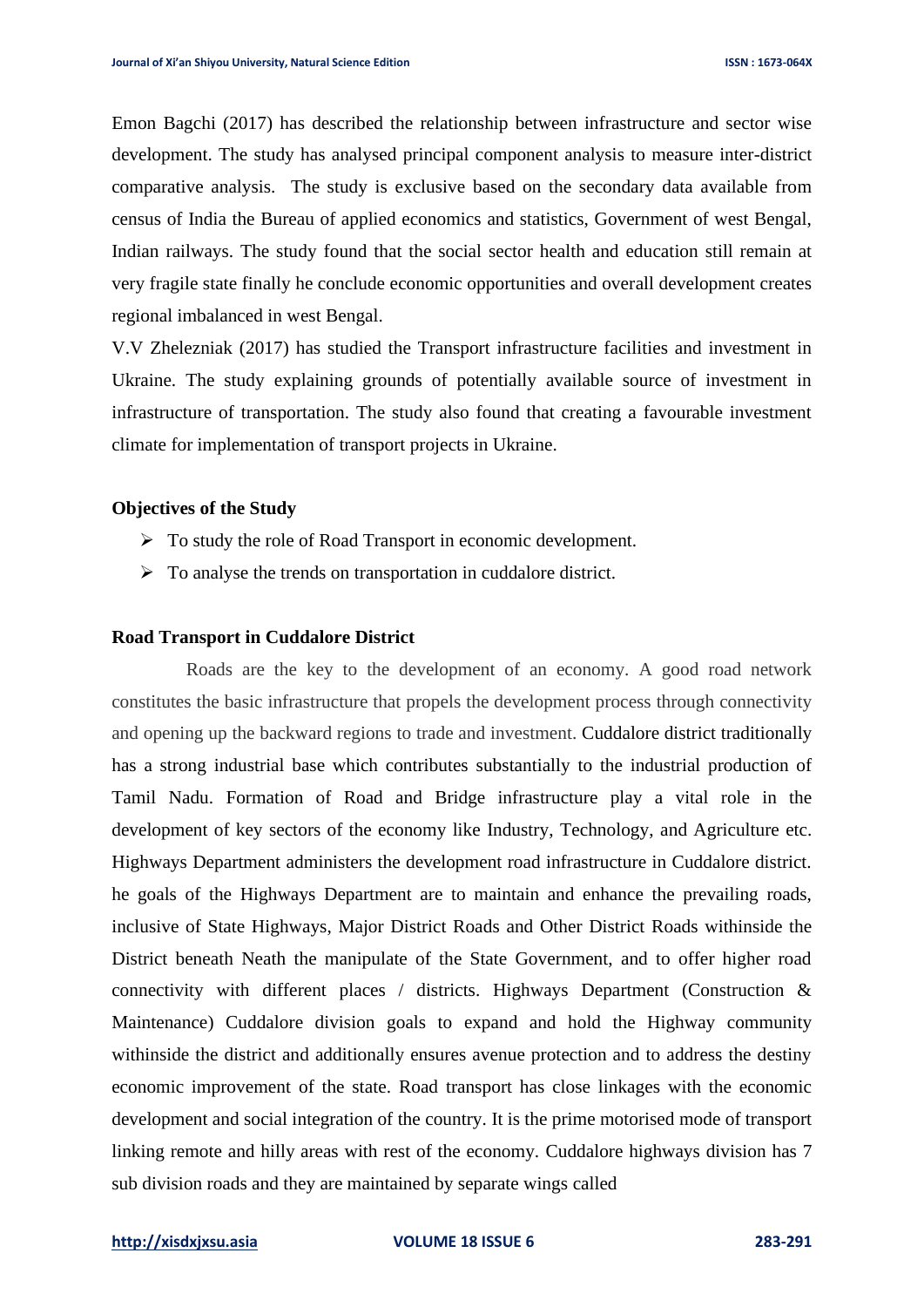Emon Bagchi (2017) has described the relationship between infrastructure and sector wise development. The study has analysed principal component analysis to measure inter-district comparative analysis. The study is exclusive based on the secondary data available from census of India the Bureau of applied economics and statistics, Government of west Bengal, Indian railways. The study found that the social sector health and education still remain at very fragile state finally he conclude economic opportunities and overall development creates regional imbalanced in west Bengal.

V.V Zhelezniak (2017) has studied the Transport infrastructure facilities and investment in Ukraine. The study explaining grounds of potentially available source of investment in infrastructure of transportation. The study also found that creating a favourable investment climate for implementation of transport projects in Ukraine.

#### **Objectives of the Study**

- ➢ To study the role of Road Transport in economic development.
- ➢ To analyse the trends on transportation in cuddalore district.

#### **Road Transport in Cuddalore District**

Roads are the key to the development of an economy. A good road network constitutes the basic infrastructure that propels the development process through connectivity and opening up the backward regions to trade and investment. Cuddalore district traditionally has a strong industrial base which contributes substantially to the industrial production of Tamil Nadu. Formation of Road and Bridge infrastructure play a vital role in the development of key sectors of the economy like Industry, Technology, and Agriculture etc. Highways Department administers the development road infrastructure in Cuddalore district. he goals of the Highways Department are to maintain and enhance the prevailing roads, inclusive of State Highways, Major District Roads and Other District Roads withinside the District beneath Neath the manipulate of the State Government, and to offer higher road connectivity with different places / districts. Highways Department (Construction & Maintenance) Cuddalore division goals to expand and hold the Highway community withinside the district and additionally ensures avenue protection and to address the destiny economic improvement of the state. Road transport has close linkages with the economic development and social integration of the country. It is the prime motorised mode of transport linking remote and hilly areas with rest of the economy. Cuddalore highways division has 7 sub division roads and they are maintained by separate wings called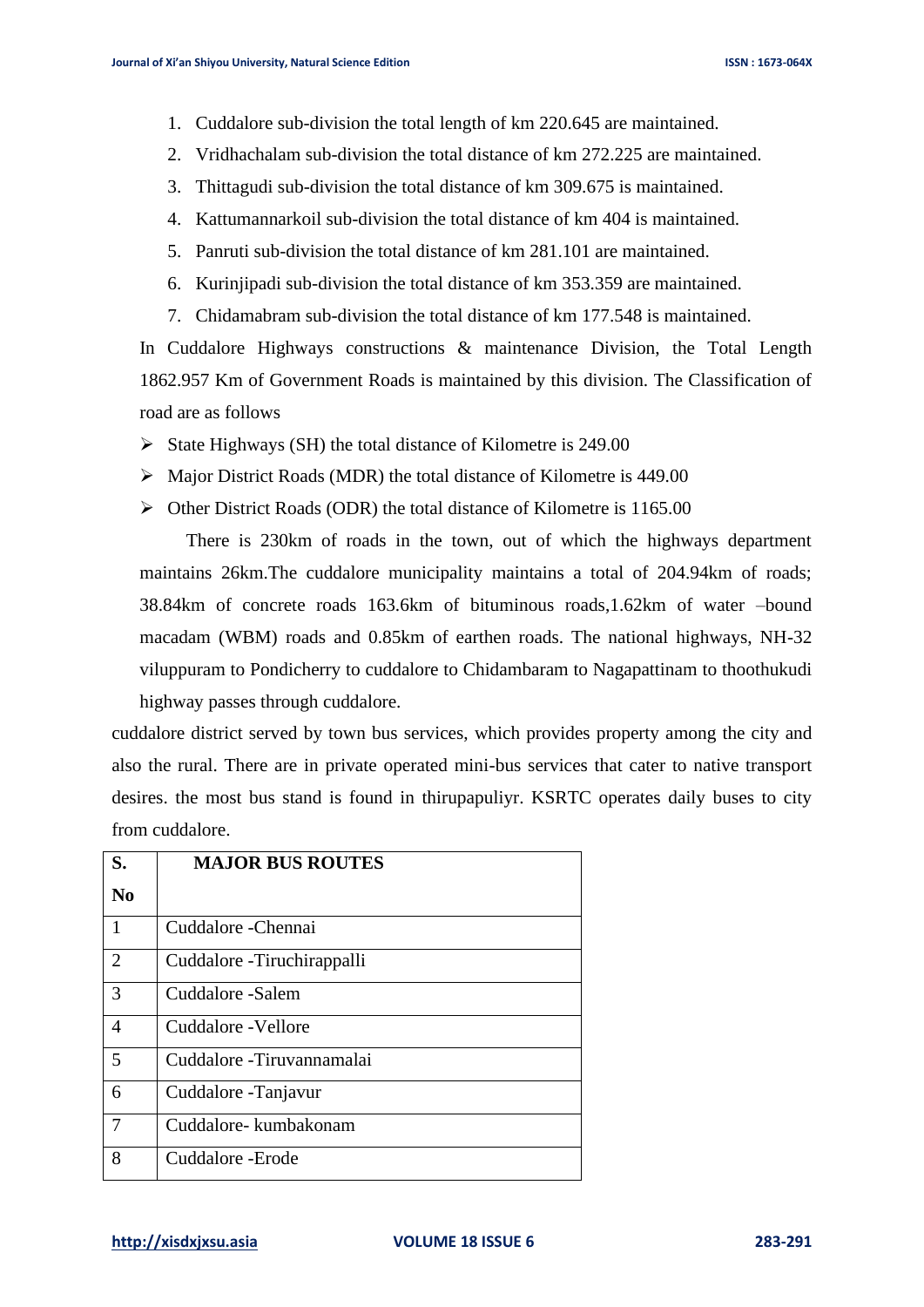- 1. Cuddalore sub-division the total length of km 220.645 are maintained.
- 2. Vridhachalam sub-division the total distance of km 272.225 are maintained.
- 3. Thittagudi sub-division the total distance of km 309.675 is maintained.
- 4. Kattumannarkoil sub-division the total distance of km 404 is maintained.
- 5. Panruti sub-division the total distance of km 281.101 are maintained.
- 6. Kurinjipadi sub-division the total distance of km 353.359 are maintained.
- 7. Chidamabram sub-division the total distance of km 177.548 is maintained.

In Cuddalore Highways constructions & maintenance Division, the Total Length 1862.957 Km of Government Roads is maintained by this division. The Classification of road are as follows

- ➢ State Highways (SH) the total distance of Kilometre is 249.00
- ➢ Major District Roads (MDR) the total distance of Kilometre is 449.00
- ➢ Other District Roads (ODR) the total distance of Kilometre is 1165.00

 There is 230km of roads in the town, out of which the highways department maintains 26km.The cuddalore municipality maintains a total of 204.94km of roads; 38.84km of concrete roads 163.6km of bituminous roads,1.62km of water –bound macadam (WBM) roads and 0.85km of earthen roads. The national highways, NH-32 viluppuram to Pondicherry to cuddalore to Chidambaram to Nagapattinam to thoothukudi highway passes through cuddalore.

cuddalore district served by town bus services, which provides property among the city and also the rural. There are in private operated mini-bus services that cater to native transport desires. the most bus stand is found in thirupapuliyr. KSRTC operates daily buses to city from cuddalore.

| S.             | <b>MAJOR BUS ROUTES</b>     |
|----------------|-----------------------------|
| $\bf No$       |                             |
| 1              | Cuddalore - Chennai         |
| 2              | Cuddalore - Tiruchirappalli |
| 3              | Cuddalore -Salem            |
| $\overline{4}$ | Cuddalore - Vellore         |
| 5              | Cuddalore -Tiruvannamalai   |
| 6              | Cuddalore - Tanjavur        |
| 7              | Cuddalore-kumbakonam        |
| 8              | Cuddalore - Erode           |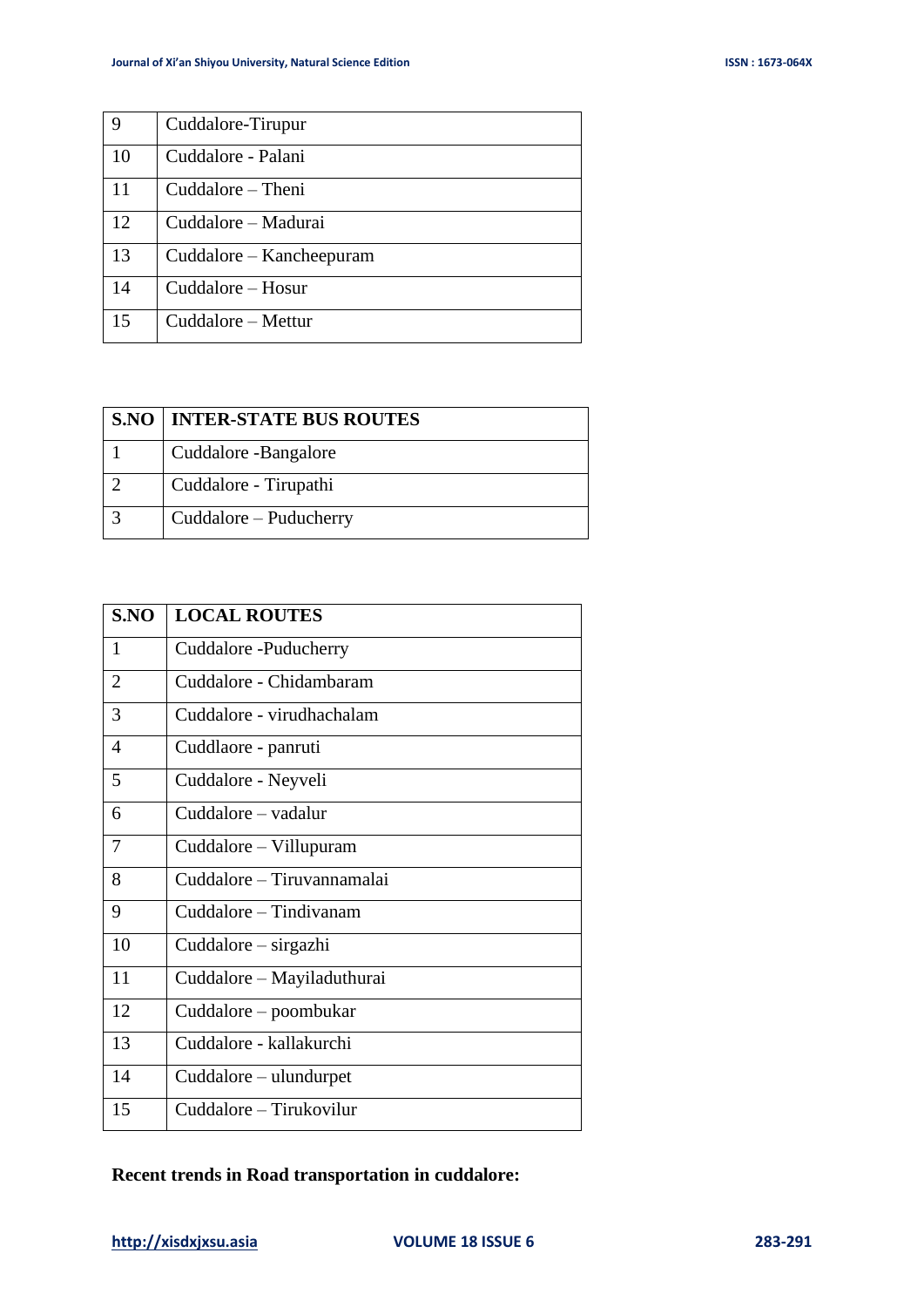| 9  | Cuddalore-Tirupur        |
|----|--------------------------|
| 10 | Cuddalore - Palani       |
| 11 | Cuddalore – Theni        |
| 12 | Cuddalore – Madurai      |
| 13 | Cuddalore – Kancheepuram |
| 14 | Cuddalore – Hosur        |
| 15 | Cuddalore - Mettur       |

| <b>S.NO   INTER-STATE BUS ROUTES</b> |
|--------------------------------------|
| Cuddalore -Bangalore                 |
| Cuddalore - Tirupathi                |
| Cuddalore – Puducherry               |

| S.NO                     | <b>LOCAL ROUTES</b>        |
|--------------------------|----------------------------|
| 1                        | Cuddalore - Puducherry     |
| $\overline{2}$           | Cuddalore - Chidambaram    |
| 3                        | Cuddalore - virudhachalam  |
| $\overline{\mathcal{A}}$ | Cuddlaore - panruti        |
| 5                        | Cuddalore - Neyveli        |
| 6                        | Cuddalore - vadalur        |
| 7                        | Cuddalore – Villupuram     |
| 8                        | Cuddalore - Tiruvannamalai |
| 9                        | Cuddalore – Tindivanam     |
| 10                       | Cuddalore – sirgazhi       |
| 11                       | Cuddalore – Mayiladuthurai |
| 12                       | Cuddalore – poombukar      |
| 13                       | Cuddalore - kallakurchi    |
| 14                       | Cuddalore – ulundurpet     |
| 15                       | Cuddalore – Tirukovilur    |

# **Recent trends in Road transportation in cuddalore:**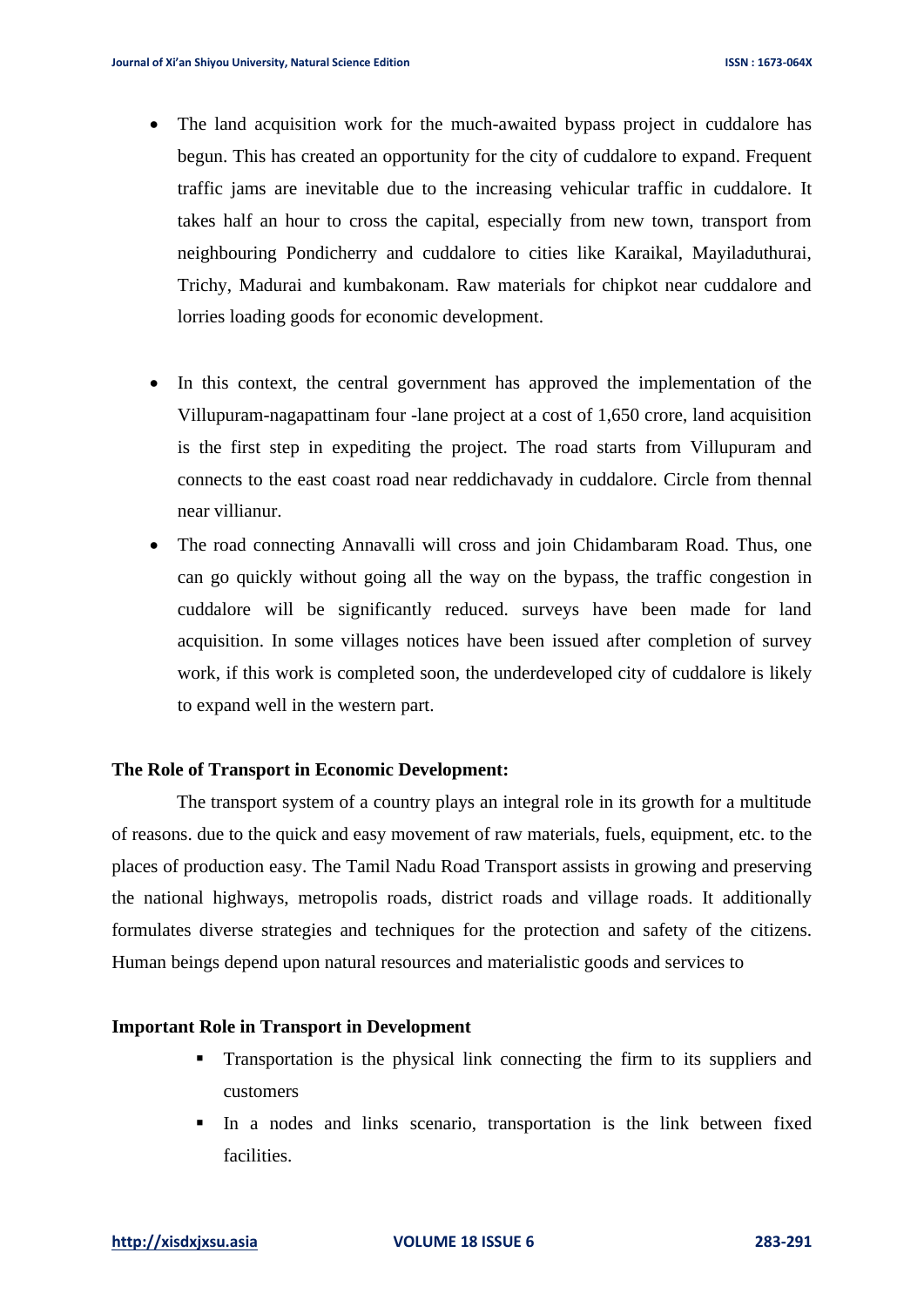- The land acquisition work for the much-awaited bypass project in cuddalore has begun. This has created an opportunity for the city of cuddalore to expand. Frequent traffic jams are inevitable due to the increasing vehicular traffic in cuddalore. It takes half an hour to cross the capital, especially from new town, transport from neighbouring Pondicherry and cuddalore to cities like Karaikal, Mayiladuthurai, Trichy, Madurai and kumbakonam. Raw materials for chipkot near cuddalore and lorries loading goods for economic development.
- In this context, the central government has approved the implementation of the Villupuram-nagapattinam four -lane project at a cost of 1,650 crore, land acquisition is the first step in expediting the project. The road starts from Villupuram and connects to the east coast road near reddichavady in cuddalore. Circle from thennal near villianur.
- The road connecting Annavalli will cross and join Chidambaram Road. Thus, one can go quickly without going all the way on the bypass, the traffic congestion in cuddalore will be significantly reduced. surveys have been made for land acquisition. In some villages notices have been issued after completion of survey work, if this work is completed soon, the underdeveloped city of cuddalore is likely to expand well in the western part.

#### **The Role of Transport in Economic Development:**

 The transport system of a country plays an integral role in its growth for a multitude of reasons. due to the quick and easy movement of raw materials, fuels, equipment, etc. to the places of production easy. The Tamil Nadu Road Transport assists in growing and preserving the national highways, metropolis roads, district roads and village roads. It additionally formulates diverse strategies and techniques for the protection and safety of the citizens. Human beings depend upon natural resources and materialistic goods and services to

### **Important Role in Transport in Development**

- Transportation is the physical link connecting the firm to its suppliers and customers
- In a nodes and links scenario, transportation is the link between fixed facilities.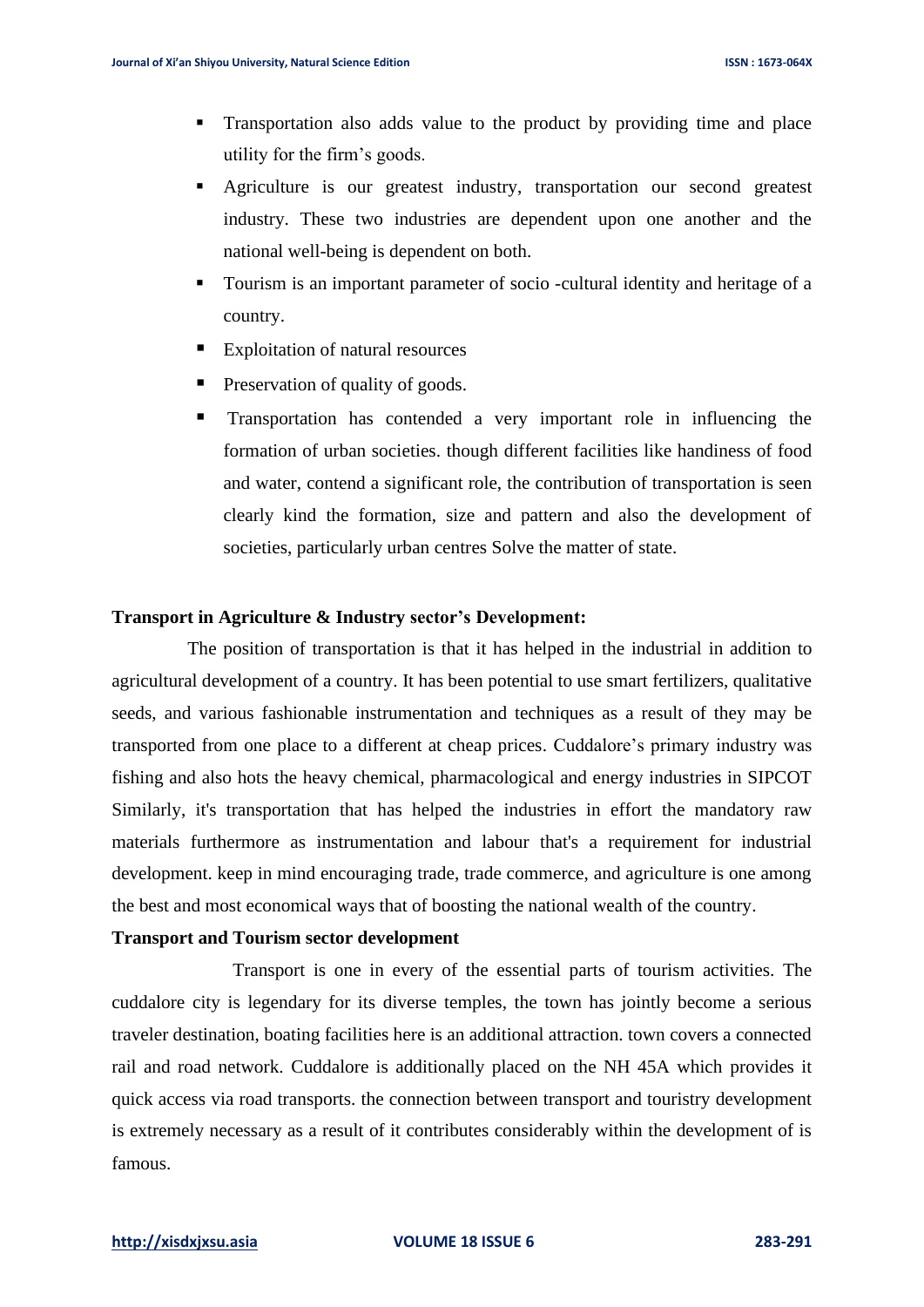- Transportation also adds value to the product by providing time and place utility for the firm's goods.
- Agriculture is our greatest industry, transportation our second greatest industry. These two industries are dependent upon one another and the national well-being is dependent on both.
- Tourism is an important parameter of socio -cultural identity and heritage of a country.
- Exploitation of natural resources
- Preservation of quality of goods.
- Transportation has contended a very important role in influencing the formation of urban societies. though different facilities like handiness of food and water, contend a significant role, the contribution of transportation is seen clearly kind the formation, size and pattern and also the development of societies, particularly urban centres Solve the matter of state.

#### **Transport in Agriculture & Industry sector's Development:**

The position of transportation is that it has helped in the industrial in addition to agricultural development of a country. It has been potential to use smart fertilizers, qualitative seeds, and various fashionable instrumentation and techniques as a result of they may be transported from one place to a different at cheap prices. Cuddalore's primary industry was fishing and also hots the heavy chemical, pharmacological and energy industries in SIPCOT Similarly, it's transportation that has helped the industries in effort the mandatory raw materials furthermore as instrumentation and labour that's a requirement for industrial development. keep in mind encouraging trade, trade commerce, and agriculture is one among the best and most economical ways that of boosting the national wealth of the country.

#### **Transport and Tourism sector development**

 Transport is one in every of the essential parts of tourism activities. The cuddalore city is legendary for its diverse temples, the town has jointly become a serious traveler destination, boating facilities here is an additional attraction. town covers a connected rail and road network. Cuddalore is additionally placed on the NH 45A which provides it quick access via road transports. the connection between transport and touristry development is extremely necessary as a result of it contributes considerably within the development of is famous.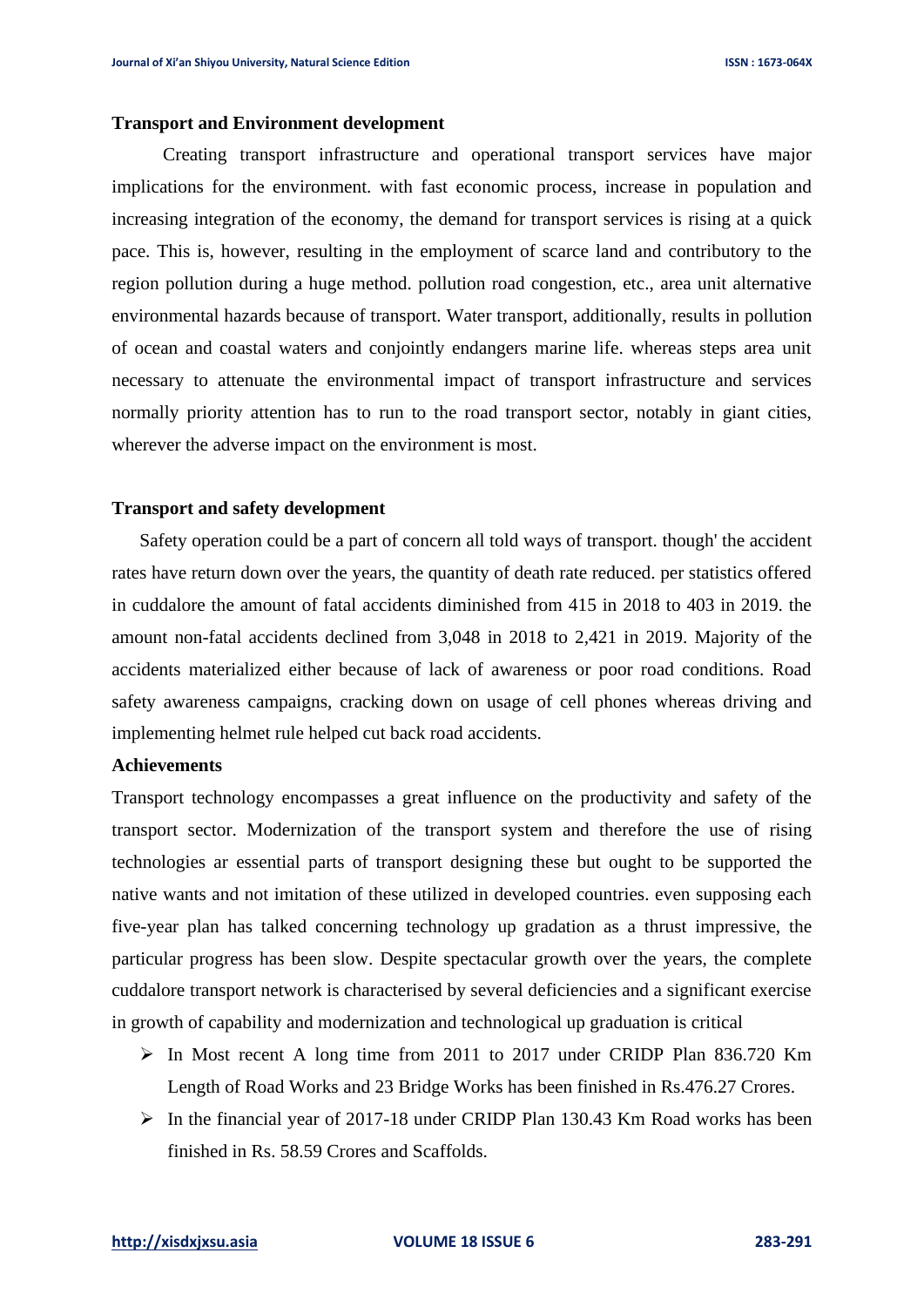#### **Transport and Environment development**

 Creating transport infrastructure and operational transport services have major implications for the environment. with fast economic process, increase in population and increasing integration of the economy, the demand for transport services is rising at a quick pace. This is, however, resulting in the employment of scarce land and contributory to the region pollution during a huge method. pollution road congestion, etc., area unit alternative environmental hazards because of transport. Water transport, additionally, results in pollution of ocean and coastal waters and conjointly endangers marine life. whereas steps area unit necessary to attenuate the environmental impact of transport infrastructure and services normally priority attention has to run to the road transport sector, notably in giant cities, wherever the adverse impact on the environment is most.

#### **Transport and safety development**

 Safety operation could be a part of concern all told ways of transport. though' the accident rates have return down over the years, the quantity of death rate reduced. per statistics offered in cuddalore the amount of fatal accidents diminished from 415 in 2018 to 403 in 2019. the amount non-fatal accidents declined from 3,048 in 2018 to 2,421 in 2019. Majority of the accidents materialized either because of lack of awareness or poor road conditions. Road safety awareness campaigns, cracking down on usage of cell phones whereas driving and implementing helmet rule helped cut back road accidents.

#### **Achievements**

Transport technology encompasses a great influence on the productivity and safety of the transport sector. Modernization of the transport system and therefore the use of rising technologies ar essential parts of transport designing these but ought to be supported the native wants and not imitation of these utilized in developed countries. even supposing each five-year plan has talked concerning technology up gradation as a thrust impressive, the particular progress has been slow. Despite spectacular growth over the years, the complete cuddalore transport network is characterised by several deficiencies and a significant exercise in growth of capability and modernization and technological up graduation is critical

- ➢ In Most recent A long time from 2011 to 2017 under CRIDP Plan 836.720 Km Length of Road Works and 23 Bridge Works has been finished in Rs.476.27 Crores.
- ➢ In the financial year of 2017-18 under CRIDP Plan 130.43 Km Road works has been finished in Rs. 58.59 Crores and Scaffolds.